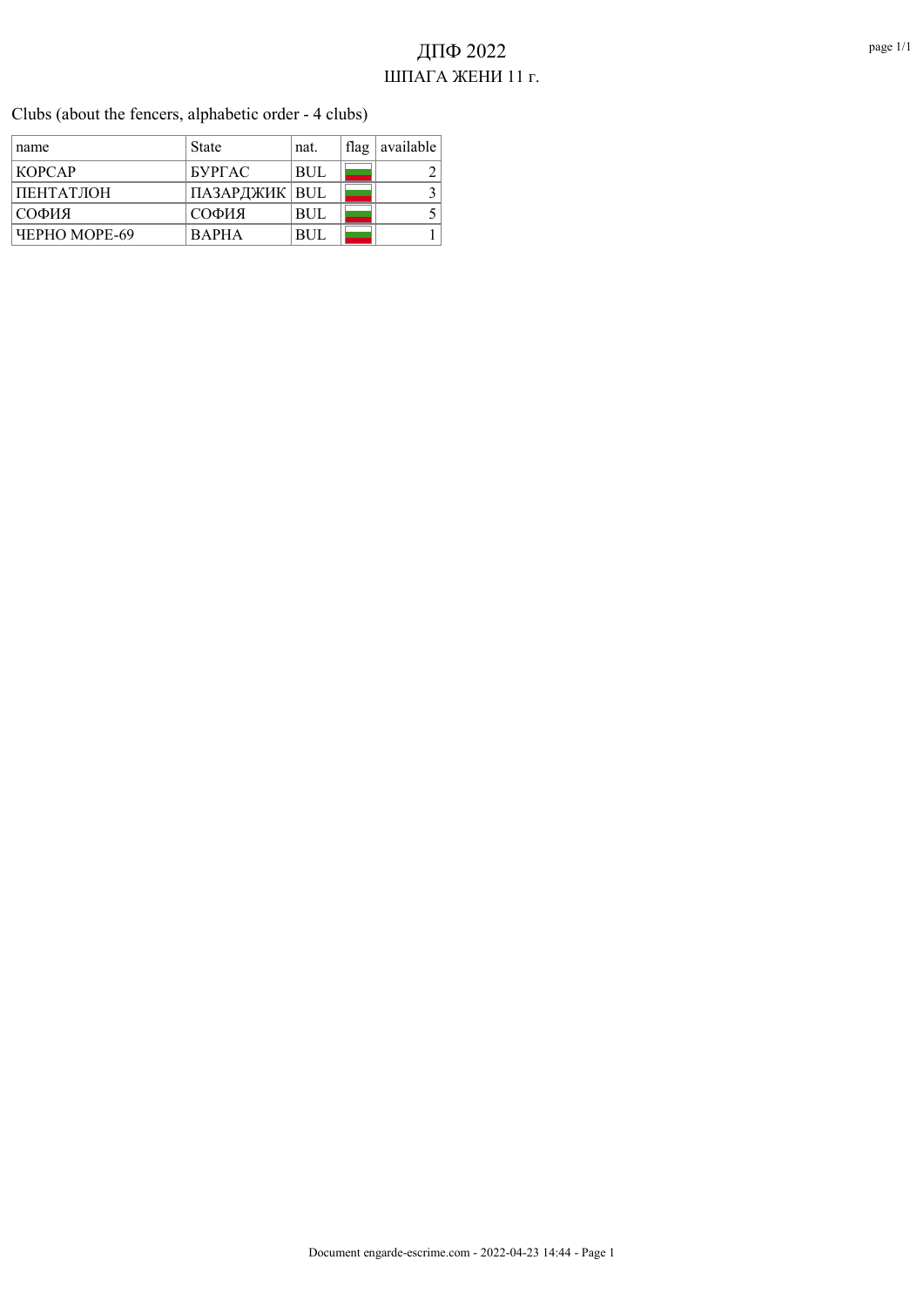### Clubs (about the fencers, alphabetic order - 4 clubs)

| name                        | <b>State</b>      | nat.  | flag   available |
|-----------------------------|-------------------|-------|------------------|
| <b>KOPCAP</b>               | BYPTAC            | ' BUL |                  |
| ПЕНТАТЛОН                   | ' ПАЗАРДЖИК   BUL |       |                  |
| СОФИЯ                       | СОФИЯ             | `BUL  |                  |
| <b><i>HEPHO MOPE-69</i></b> | <b>BAPHA</b>      | BUL.  |                  |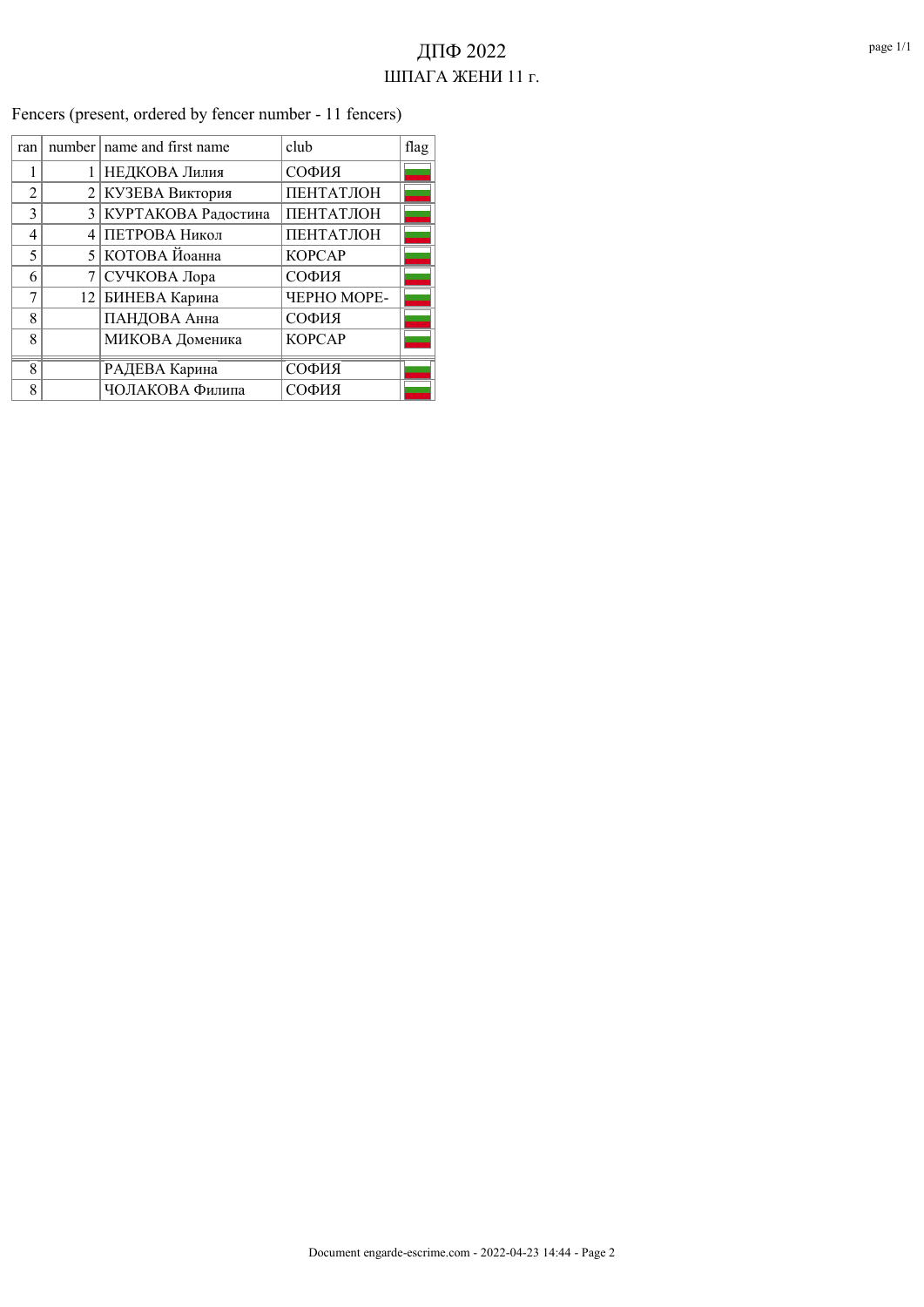Fencers (present, ordered by fencer number - 11 fencers)

| ran            |   | number   name and first name | club             | flag |
|----------------|---|------------------------------|------------------|------|
|                | 1 | НЕДКОВА Лилия                | СОФИЯ            |      |
| $\overline{2}$ | 2 | КУЗЕВА Виктория              | ПЕНТАТЛОН        |      |
| 3              | 3 | КУРТАКОВА Радостина          | <b>ПЕНТАТЛОН</b> |      |
| 4              | 4 | ПЕТРОВА Никол                | ПЕНТАТЛОН        |      |
| 5              |   | 5   КОТОВА Йоанна            | <b>KOPCAP</b>    |      |
| 6              | 7 | СУЧКОВА Лора                 | СОФИЯ            |      |
| 7              |   | 12 БИНЕВА Карина             | ЧЕРНО МОРЕ-      |      |
| 8              |   | ПАНДОВА Анна                 | СОФИЯ            |      |
| 8              |   | МИКОВА Доменика              | <b>KOPCAP</b>    |      |
| 8              |   | РАДЕВА Карина                | СОФИЯ            |      |
| 8              |   | ЧОЛАКОВА Филипа              | СОФИЯ            |      |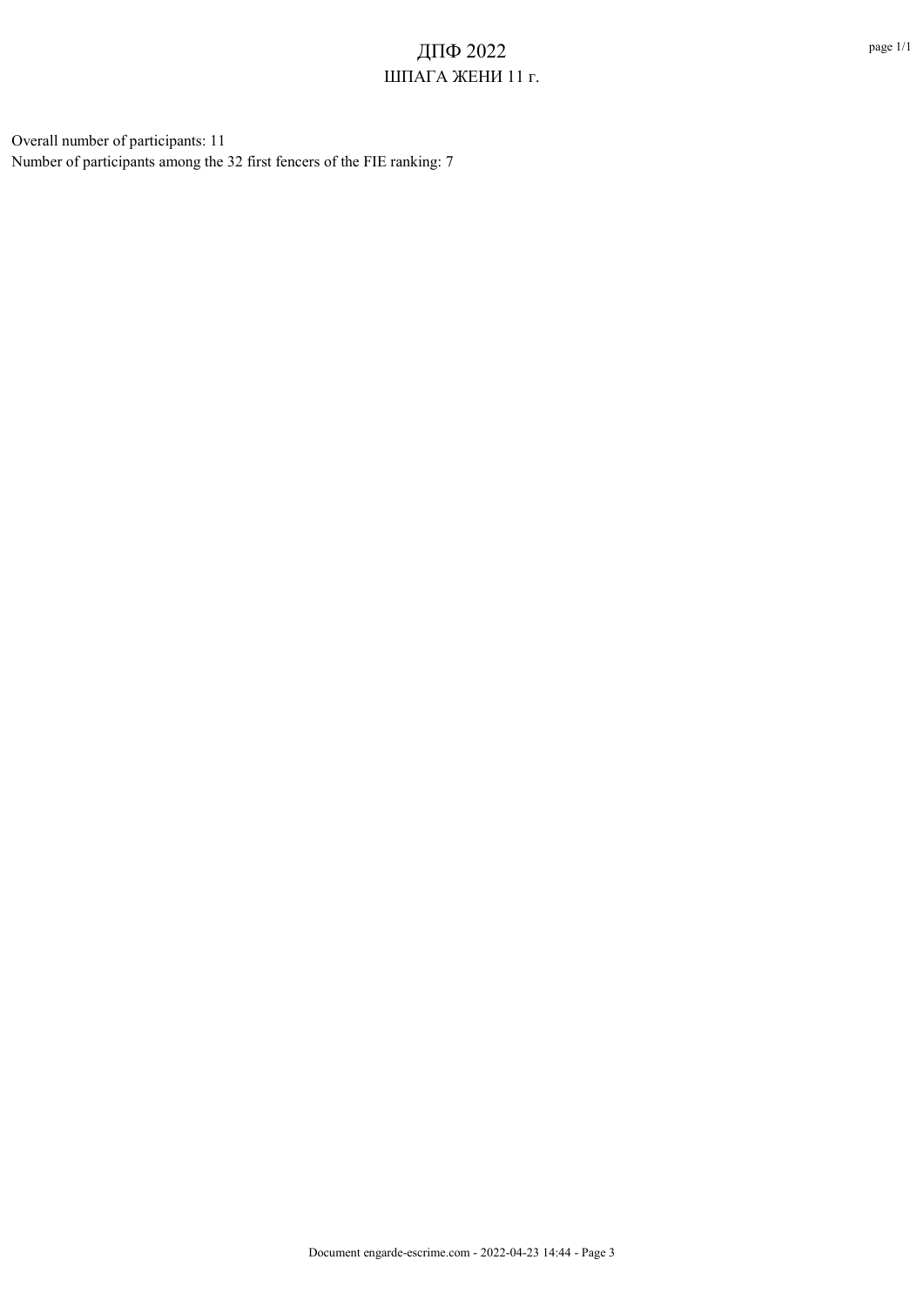Overall number of participants: 11 Number of participants among the 32 first fencers of the FIE ranking: 7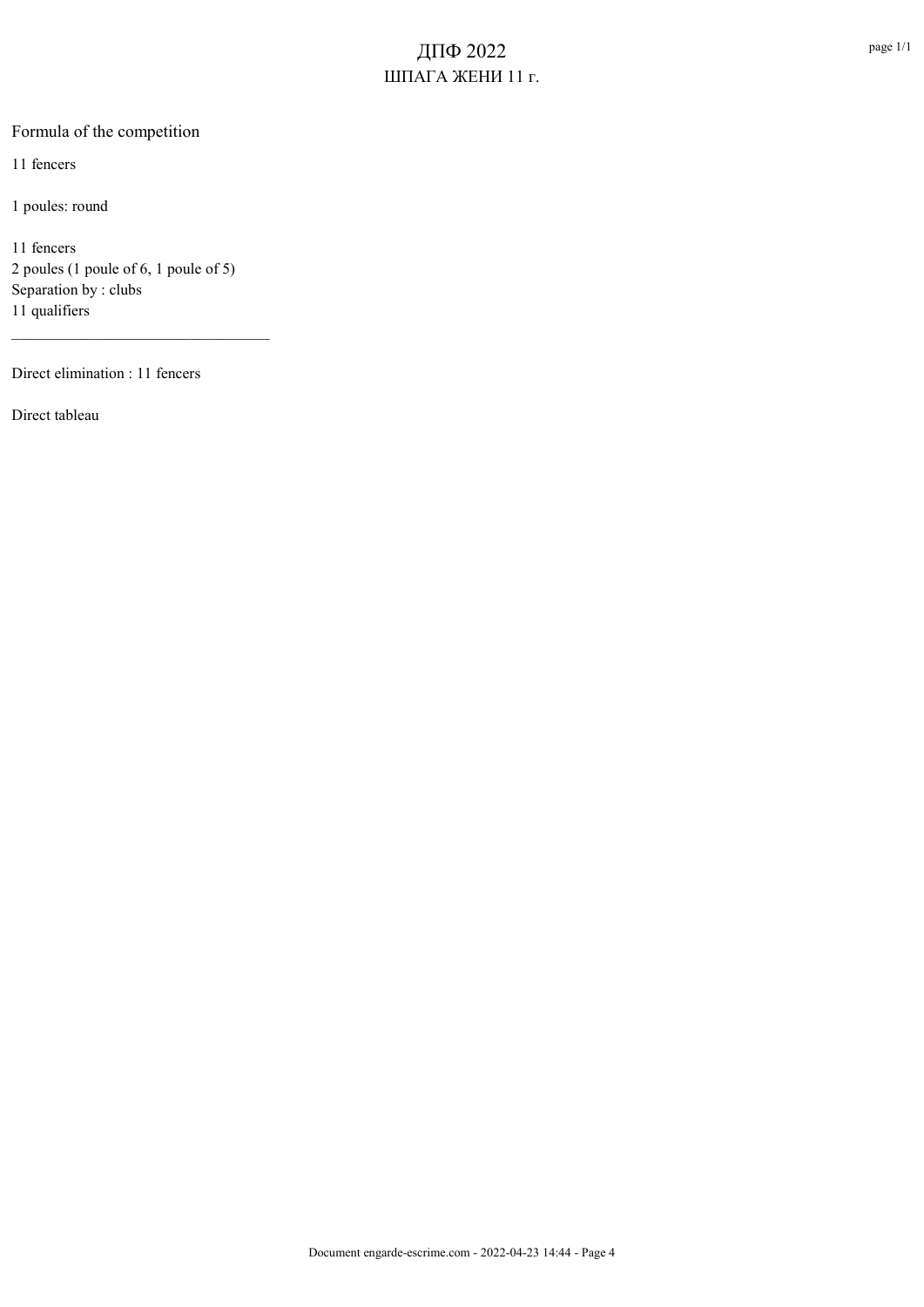### Formula of the competition

11 fencers

1 poules: round

11 fencers 2 poules (1 poule of 6, 1 poule of 5) Separation by : clubs 11 qualifiers

Direct elimination : 11 fencers

Direct tableau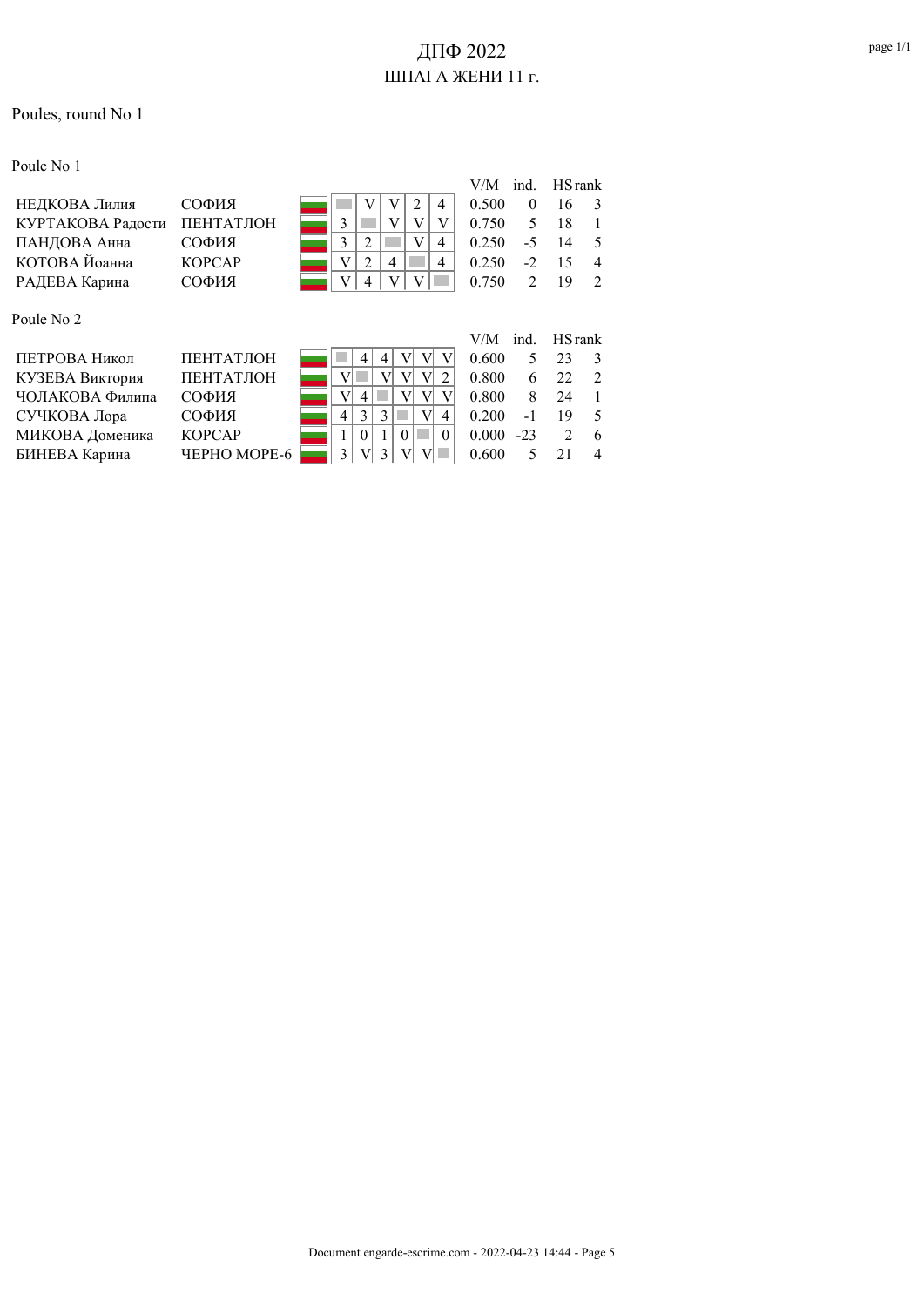#### Poules, round No 1

Poule No 1

|                   |                            |   |                |                    |          |                | V/M   | ind.          | <b>HS</b> rank |                |
|-------------------|----------------------------|---|----------------|--------------------|----------|----------------|-------|---------------|----------------|----------------|
| НЕДКОВА Лилия     | СОФИЯ                      |   | V              | V                  | 2        | 4              | 0.500 | $\theta$      | 16             | 3              |
| КУРТАКОВА Радости | ПЕНТАТЛОН                  | 3 |                | V                  | V        | V              | 0.750 | 5             | 18             |                |
| ПАНДОВА Анна      | СОФИЯ                      | 3 | $\overline{2}$ |                    | V        | 4              | 0.250 | -5            | 14             | .5             |
| КОТОВА Йоанна     | <b>KOPCAP</b>              | V | 2              | 4                  |          | 4              | 0.250 | $-2$          | 15             | $\overline{4}$ |
| РАДЕВА Карина     | СОФИЯ                      | V | 4              | $\overline{\rm v}$ | V        |                | 0.750 | $\mathcal{L}$ | 19             | $\mathfrak{D}$ |
|                   |                            |   |                |                    |          |                |       |               |                |                |
| Poule No 2        |                            |   |                |                    |          |                |       |               |                |                |
|                   |                            |   |                |                    |          |                | V/M   | ind.          | <b>HS</b> rank |                |
| ПЕТРОВА Никол     |                            |   |                |                    |          |                |       |               |                |                |
|                   | ПЕНТАТЛОН                  |   | 4              | 4                  | V<br>V   | V              | 0.600 | 5             | 23             | 3              |
| КУЗЕВА Виктория   | ПЕНТАТЛОН                  | V |                | V                  | V<br>V   | $\overline{2}$ | 0.800 | 6             | 22             | $\mathcal{L}$  |
| ЧОЛАКОВА Филипа   | СОФИЯ                      | V | 4              |                    | V<br>V   | V              | 0.800 | 8             | 24             |                |
| СУЧКОВА Лора      | СОФИЯ                      | 4 | 3              | 3                  | $\rm{V}$ | 4              | 0.200 | $-1$          | 19             | 5              |
| МИКОВА Доменика   | <b>KOPCAP</b>              |   | $\theta$       | $\theta$           |          | $\Omega$       | 0.000 | $-23$         | $\mathfrak{D}$ | 6              |
| БИНЕВА Карина     | <b><i>HEPHO MOPE-6</i></b> | 3 | V              | 3                  |          |                | 0.600 | 5             | 21             | $\overline{4}$ |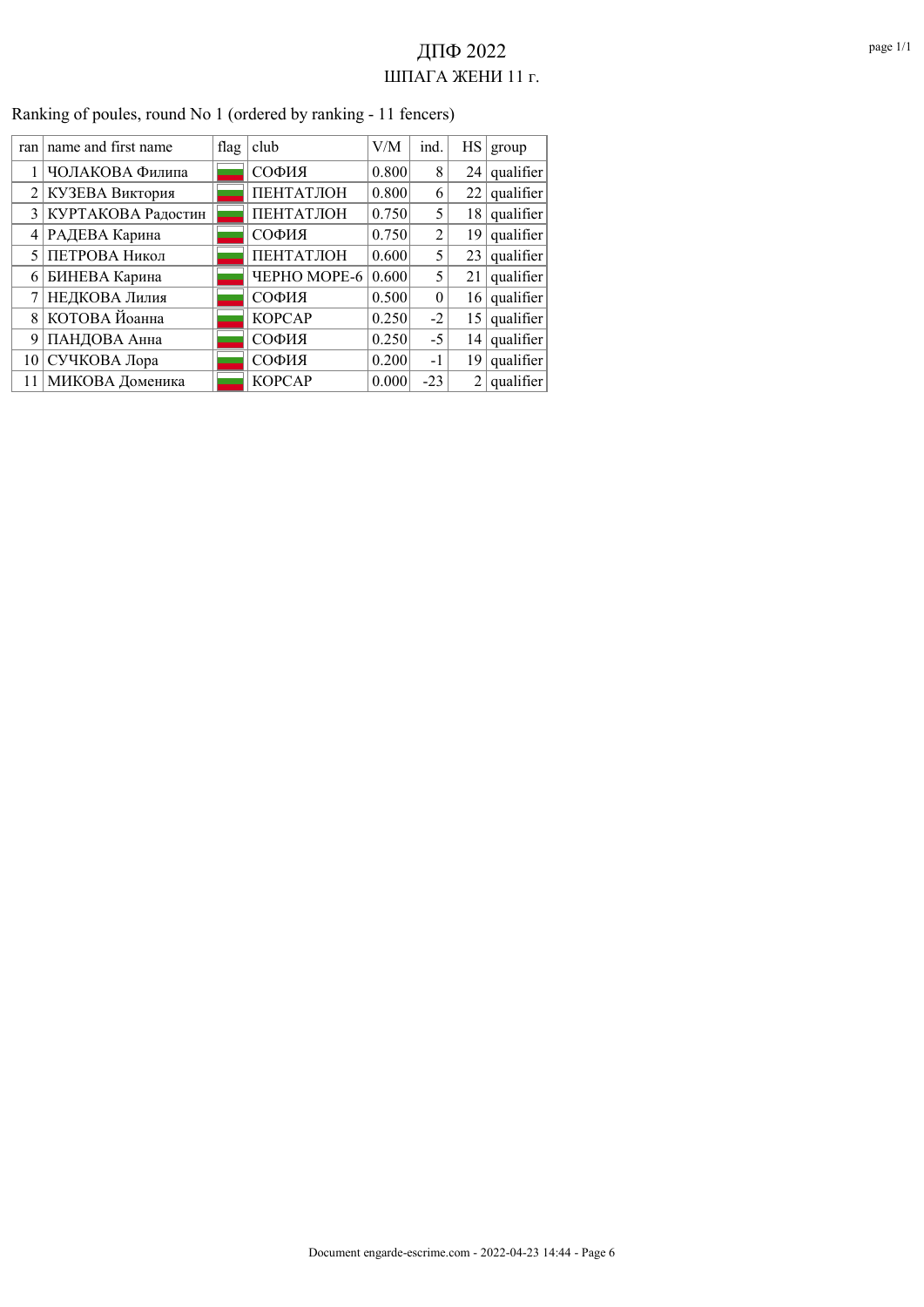| ran            | name and first name  | flag | club                | V/M   | ind.     | HS | group     |
|----------------|----------------------|------|---------------------|-------|----------|----|-----------|
|                | ЧОЛАКОВА Филипа      |      | СОФИЯ               | 0.800 | 8        | 24 | qualifier |
|                | 2 КУЗЕВА Виктория    |      | ПЕНТАТЛОН           | 0.800 | 6        | 22 | qualifier |
|                | 3 КУРТАКОВА Радостин |      | ПЕНТАТЛОН           | 0.750 | 5        | 18 | qualifier |
|                | 4 РАДЕВА Карина      |      | СОФИЯ               | 0.750 | 2        | 19 | qualifier |
| 5 <sup>1</sup> | ПЕТРОВА Никол        |      | <b>ПЕНТАТЛОН</b>    | 0.600 | 5        | 23 | qualifier |
| 61             | БИНЕВА Карина        |      | <b>ЧЕРНО МОРЕ-6</b> | 0.600 | 5        | 21 | qualifier |
|                | НЕДКОВА Лилия        |      | СОФИЯ               | 0.500 | $\theta$ | 16 | qualifier |
|                | 8 КОТОВА Йоанна      |      | <b>KOPCAP</b>       | 0.250 | $-2$     | 15 | qualifier |
| 9              | ПАНДОВА Анна         |      | СОФИЯ               | 0.250 | $-5$     | 14 | qualifier |
| 10 l           | СУЧКОВА Лора         |      | СОФИЯ               | 0.200 | $-1$     | 19 | qualifier |
| 11             | МИКОВА Доменика      |      | <b>KOPCAP</b>       | 0.000 | $-23$    | 2  | qualifier |

Ranking of poules, round No 1 (ordered by ranking - 11 fencers)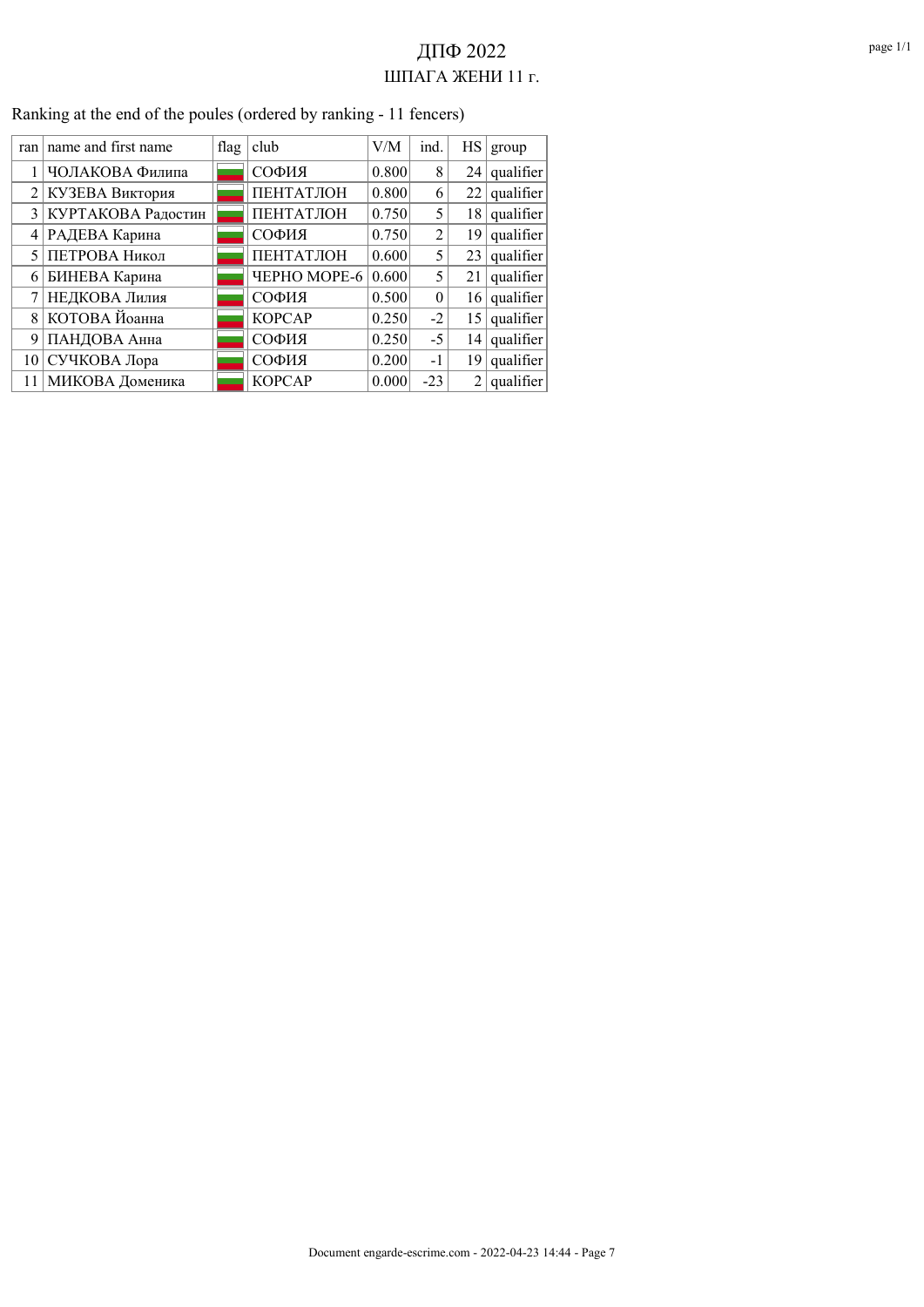| ran             | name and first name | flag | club          | V/M   | ind.           | HS  | group     |
|-----------------|---------------------|------|---------------|-------|----------------|-----|-----------|
|                 | ЧОЛАКОВА Филипа     |      | СОФИЯ         | 0.800 | 8              | 241 | qualifier |
| 2 <sup>1</sup>  | КУЗЕВА Виктория     |      | ПЕНТАТЛОН     | 0.800 | 6              | 22  | qualifier |
| $\frac{3}{3}$   | КУРТАКОВА Радостин  |      | ПЕНТАТЛОН     | 0.750 | 5              | 18  | qualifier |
| 4               | РАДЕВА Карина       |      | СОФИЯ         | 0.750 | $\overline{2}$ | 19  | qualifier |
| $\mathcal{F}$   | ПЕТРОВА Никол       |      | ПЕНТАТЛОН     | 0.600 | 5              | 23  | qualifier |
| 6               | БИНЕВА Карина       |      | ЧЕРНО МОРЕ-6  | 0.600 | 5              | 21  | qualifier |
|                 | НЕДКОВА Лилия       |      | СОФИЯ         | 0.500 | $\Omega$       | 16  | qualifier |
| 8 <sup>1</sup>  | КОТОВА Йоанна       |      | <b>KOPCAP</b> | 0.250 | $-2$           | 15  | qualifier |
| 9               | ПАНДОВА Анна        |      | СОФИЯ         | 0.250 | $-5$           | 14  | qualifier |
| 10 <sup>1</sup> | СУЧКОВА Лора        |      | СОФИЯ         | 0.200 | $-1$           | 19  | qualifier |
| 11              | МИКОВА Доменика     |      | <b>KOPCAP</b> | 0.000 | $-23$          | 2   | qualifier |

Ranking at the end of the poules (ordered by ranking - 11 fencers)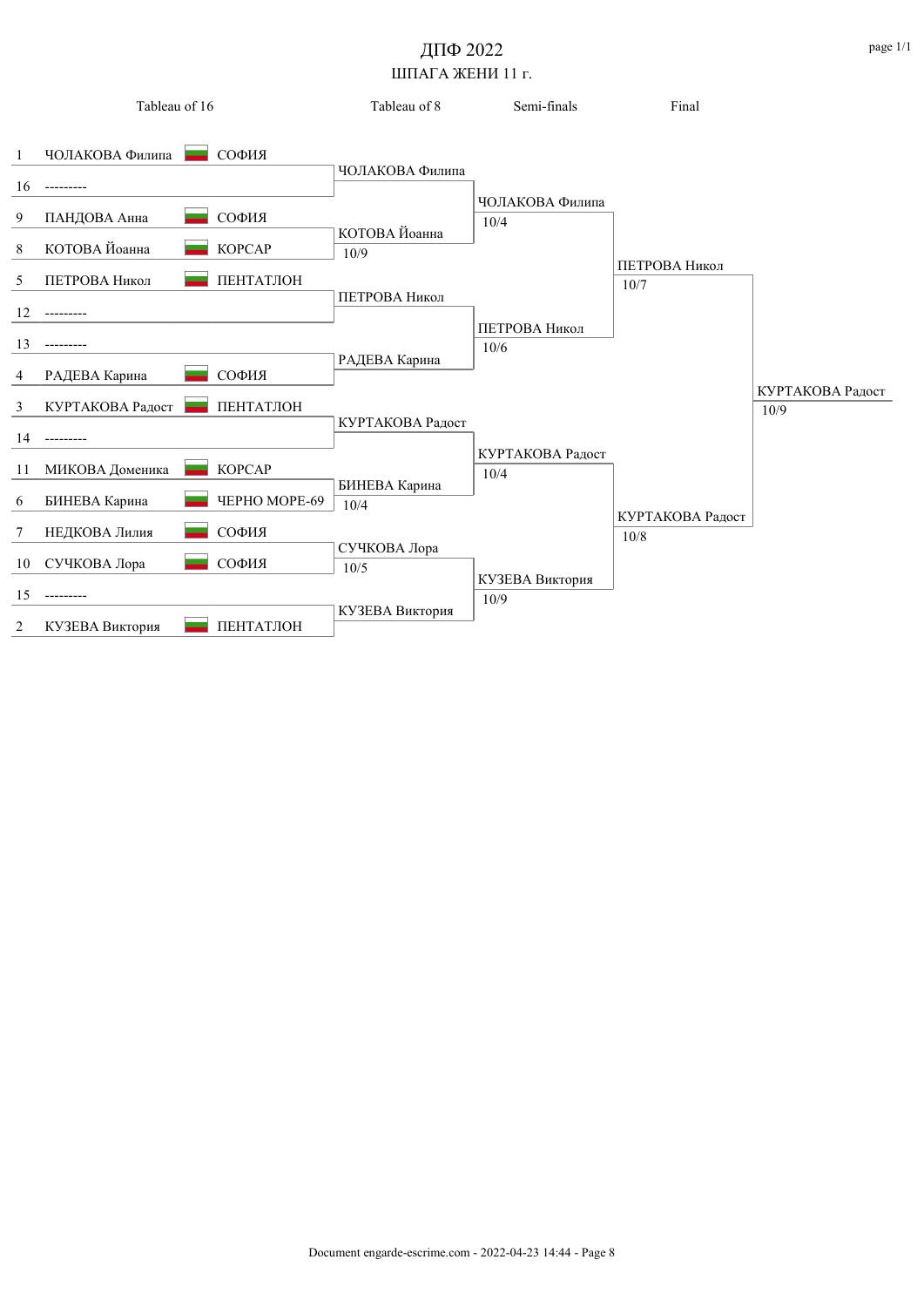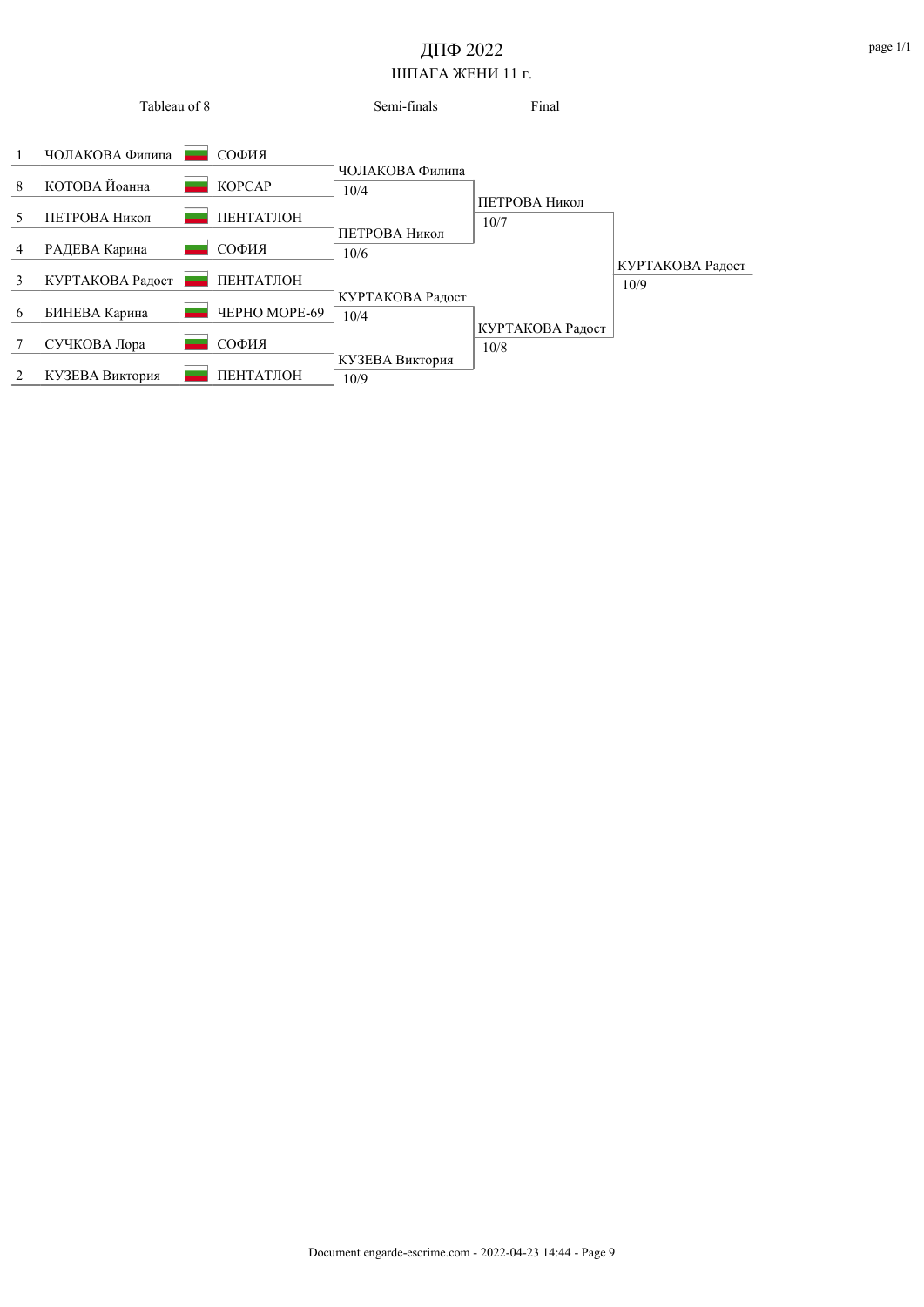